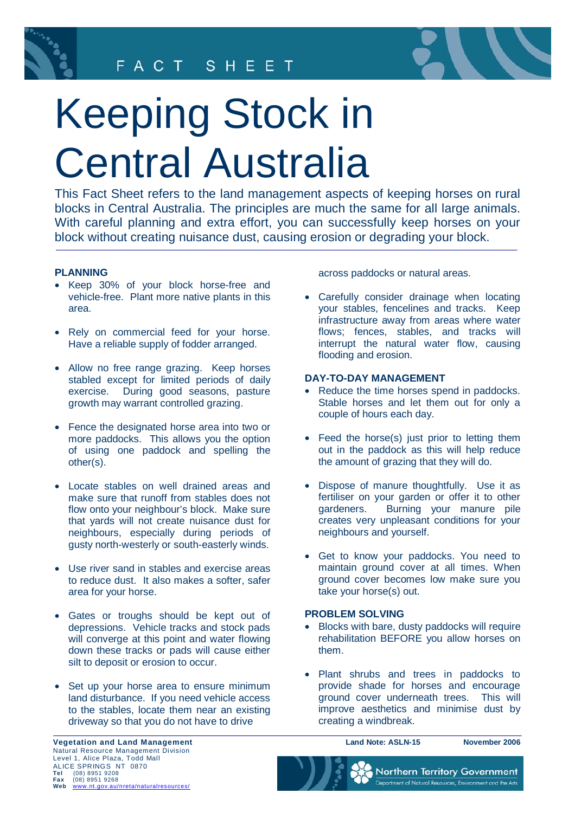

# Keeping Stock in Central Australia

This Fact Sheet refers to the land management aspects of keeping horses on rural blocks in Central Australia. The principles are much the same for all large animals. With careful planning and extra effort, you can successfully keep horses on your block without creating nuisance dust, causing erosion or degrading your block.

## **PLANNING**

- Keep 30% of your block horse-free and vehicle-free. Plant more native plants in this area.
- Rely on commercial feed for your horse. Have a reliable supply of fodder arranged.
- Allow no free range grazing. Keep horses stabled except for limited periods of daily exercise. During good seasons, pasture growth may warrant controlled grazing.
- Fence the designated horse area into two or more paddocks. This allows you the option of using one paddock and spelling the other(s).
- Locate stables on well drained areas and make sure that runoff from stables does not flow onto your neighbour's block. Make sure that yards will not create nuisance dust for neighbours, especially during periods of gusty north-westerly or south-easterly winds.
- Use river sand in stables and exercise areas to reduce dust. It also makes a softer, safer area for your horse.
- Gates or troughs should be kept out of depressions. Vehicle tracks and stock pads will converge at this point and water flowing down these tracks or pads will cause either silt to deposit or erosion to occur.
- Set up your horse area to ensure minimum land disturbance. If you need vehicle access to the stables, locate them near an existing driveway so that you do not have to drive

across paddocks or natural areas.

• Carefully consider drainage when locating your stables, fencelines and tracks. Keep infrastructure away from areas where water flows; fences, stables, and tracks will interrupt the natural water flow, causing flooding and erosion.

### **DAY-TO-DAY MANAGEMENT**

- Reduce the time horses spend in paddocks. Stable horses and let them out for only a couple of hours each day.
- Feed the horse(s) just prior to letting them out in the paddock as this will help reduce the amount of grazing that they will do.
- Dispose of manure thoughtfully. Use it as fertiliser on your garden or offer it to other gardeners. Burning your manure pile creates very unpleasant conditions for your neighbours and yourself.
- Get to know your paddocks. You need to maintain ground cover at all times. When ground cover becomes low make sure you take your horse(s) out.

### **PROBLEM SOLVING**

- Blocks with bare, dusty paddocks will require rehabilitation BEFORE you allow horses on them.
- Plant shrubs and trees in paddocks to provide shade for horses and encourage ground cover underneath trees. This will improve aesthetics and minimise dust by creating a windbreak.

**Land Note: ASLN-15 November 2006**